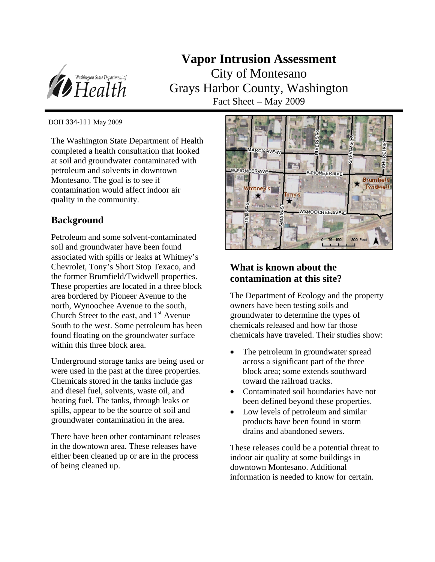

**Vapor Intrusion Assessment**  City of Montesano Grays Harbor County, Washington Fact Sheet – May 2009

DOH 334-**G** I May 2009

The Washington State Department of Health completed a health consultation that looked at soil and groundwater contaminated with petroleum and solvents in downtown Montesano. The goal is to see if contamination would affect indoor air quality in the community.

### **Background**

Petroleum and some solvent-contaminated soil and groundwater have been found associated with spills or leaks at Whitney's Chevrolet, Tony's Short Stop Texaco, and the former Brumfield/Twidwell properties. These properties are located in a three block area bordered by Pioneer Avenue to the north, Wynoochee Avenue to the south, Church Street to the east, and  $1<sup>st</sup>$  Avenue South to the west. Some petroleum has been found floating on the groundwater surface within this three block area.

Underground storage tanks are being used or were used in the past at the three properties. Chemicals stored in the tanks include gas and diesel fuel, solvents, waste oil, and heating fuel. The tanks, through leaks or spills, appear to be the source of soil and groundwater contamination in the area.

There have been other contaminant releases in the downtown area. These releases have either been cleaned up or are in the process of being cleaned up.



# **What is known about the contamination at this site?**

The Department of Ecology and the property owners have been testing soils and groundwater to determine the types of chemicals released and how far those chemicals have traveled. Their studies show:

- The petroleum in groundwater spread across a significant part of the three block area; some extends southward toward the railroad tracks.
- Contaminated soil boundaries have not been defined beyond these properties.
- Low levels of petroleum and similar products have been found in storm drains and abandoned sewers.

These releases could be a potential threat to indoor air quality at some buildings in downtown Montesano. Additional information is needed to know for certain.